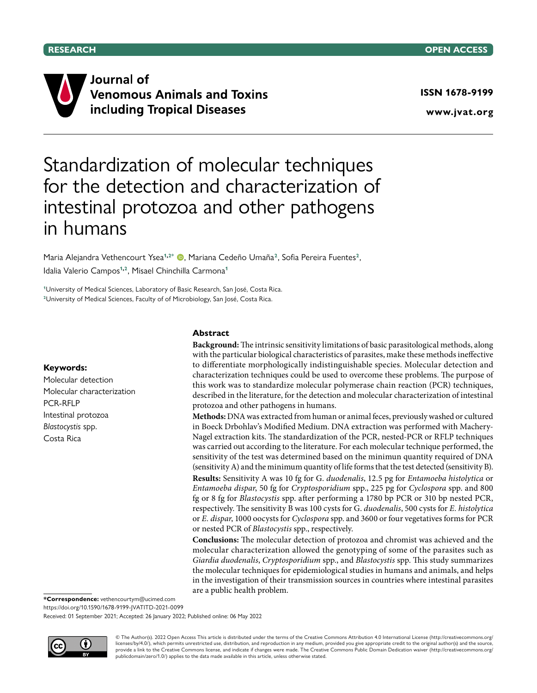

Journal of **Venomous Animals and Toxins** including Tropical Diseases

**www.jvat.org**

# Standardization of molecular techniques for the detection and characterization of intestinal protozoa and other pathogens in humans

Maria Alejandra Vethencourt Ysea<sup>1,2\*</sup> (D, Mariana Cedeño Umaña<sup>2</sup>, Sofia Pereira Fuentes<sup>2</sup>, Idalia Valerio Campos**1,2**, Misael Chinchilla Carmona**<sup>1</sup>**

**<sup>1</sup>**University of Medical Sciences, Laboratory of Basic Research, San José, Costa Rica. **<sup>2</sup>**University of Medical Sciences, Faculty of of Microbiology, San José, Costa Rica.

#### **Keywords:**

Molecular detection Molecular characterization PCR-RFLP Intestinal protozoa *Blastocystis* spp. Costa Rica

#### **Abstract**

**Background:** The intrinsic sensitivity limitations of basic parasitological methods, along with the particular biological characteristics of parasites, make these methods ineffective to differentiate morphologically indistinguishable species. Molecular detection and characterization techniques could be used to overcome these problems. The purpose of this work was to standardize molecular polymerase chain reaction (PCR) techniques, described in the literature, for the detection and molecular characterization of intestinal protozoa and other pathogens in humans.

**Methods:** DNA was extracted from human or animal feces, previously washed or cultured in Boeck Drbohlav's Modified Medium. DNA extraction was performed with Machery-Nagel extraction kits. The standardization of the PCR, nested-PCR or RFLP techniques was carried out according to the literature. For each molecular technique performed, the sensitivity of the test was determined based on the minimun quantity required of DNA (sensitivity A) and the minimum quantity of life forms that the test detected (sensitivity B). **Results:** Sensitivity A was 10 fg for G. *duodenalis*, 12.5 pg for *Entamoeba histolytica* or *Entamoeba dispar*, 50 fg for *Cryptosporidium* spp., 225 pg for *Cyclospora* spp. and 800 fg or 8 fg for *Blastocystis* spp. after performing a 1780 bp PCR or 310 bp nested PCR, respectively. The sensitivity B was 100 cysts for G. *duodenalis*, 500 cysts for *E. histolytica* or *E. dispar*, 1000 oocysts for *Cyclospora* spp. and 3600 or four vegetatives forms for PCR or nested PCR of *Blastocystis* spp., respectively.

**Conclusions:** The molecular detection of protozoa and chromist was achieved and the molecular characterization allowed the genotyping of some of the parasites such as *Giardia duodenalis*, *Cryptosporidium* spp., and *Blastocystis* spp. This study summarizes the molecular techniques for epidemiological studies in humans and animals, and helps in the investigation of their transmission sources in countries where intestinal parasites are a public health problem.

**\*Correspondence:** vethencourtym@ucimed.com

<https://doi.org/10.1590/1678-9199-JVATITD-2021-0099>

Received: 01 September 2021; Accepted: 26 January 2022; Published online: 06 May 2022



© The Author(s). 2022 Open Access This article is distributed under the terms of the Creative Commons Attribution 4.0 International License (http://creativecommons.org/ licenses/by/4.0/), which permits unrestricted use, distribution, and reproduction in any medium, provided you give appropriate credit to the original author(s) and the source,<br>provide a link to the Creative Commons license publicdomain/zero/1.0/) applies to the data made available in this article, unless otherwise stated.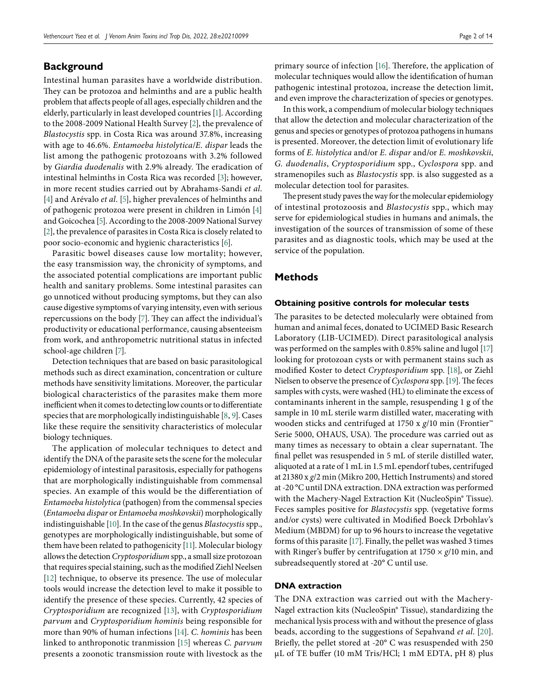# **Background**

Intestinal human parasites have a worldwide distribution. They can be protozoa and helminths and are a public health problem that affects people of all ages, especially children and the elderly, particularly in least developed countries [\[1](#page-11-0)]. According to the 2008-2009 National Health Survey [\[2](#page-11-1)], the prevalence of *Blastocystis* spp. in Costa Rica was around 37.8%, increasing with age to 46.6%. *Entamoeba histolytica*/*E. dispar* leads the list among the pathogenic protozoans with 3.2% followed by *Giardia duodenalis* with 2.9% already. The eradication of intestinal helminths in Costa Rica was recorded [\[3](#page-11-2)]; however, in more recent studies carried out by Abrahams-Sandi *et al*. [\[4](#page-11-3)] and Arévalo *et al*. [\[5\]](#page-11-4), higher prevalences of helminths and of pathogenic protozoa were present in children in Limón [\[4\]](#page-11-3) and Goicochea [\[5](#page-11-4)]. According to the 2008-2009 National Survey [\[2\]](#page-11-1), the prevalence of parasites in Costa Rica is closely related to poor socio-economic and hygienic characteristics [\[6\]](#page-11-5).

Parasitic bowel diseases cause low mortality; however, the easy transmission way, the chronicity of symptoms, and the associated potential complications are important public health and sanitary problems. Some intestinal parasites can go unnoticed without producing symptoms, but they can also cause digestive symptoms of varying intensity, even with serious repercussions on the body [\[7](#page-11-6)]. They can affect the individual's productivity or educational performance, causing absenteeism from work, and anthropometric nutritional status in infected school-age children [\[7](#page-11-6)].

Detection techniques that are based on basic parasitological methods such as direct examination, concentration or culture methods have sensitivity limitations. Moreover, the particular biological characteristics of the parasites make them more inefficient when it comes to detecting low counts or to differentiate species that are morphologically indistinguishable [\[8](#page-11-7), [9\]](#page-11-8). Cases like these require the sensitivity characteristics of molecular biology techniques.

The application of molecular techniques to detect and identify the DNA of the parasite sets the scene for the molecular epidemiology of intestinal parasitosis, especially for pathogens that are morphologically indistinguishable from commensal species. An example of this would be the differentiation of *Entamoeba histolytica* (pathogen) from the commensal species (*Entamoeba dispar* or *Entamoeba moshkovskii*) morphologically indistinguishable [\[10\]](#page-11-9). In the case of the genus *Blastocystis* spp., genotypes are morphologically indistinguishable, but some of them have been related to pathogenicity [\[11](#page-11-10)]. Molecular biology allows the detection *Cryptosporidium* spp., a small size protozoan that requires special staining, such as the modified Ziehl Neelsen [\[12\]](#page-11-11) technique, to observe its presence. The use of molecular tools would increase the detection level to make it possible to identify the presence of these species. Currently, 42 species of *Cryptosporidium* are recognized [\[13\]](#page-11-12), with *Cryptosporidium parvum* and *Cryptosporidium hominis* being responsible for more than 90% of human infections [\[14](#page-11-13)]. *C. hominis* has been linked to anthroponotic tranmission [\[15](#page-11-14)] whereas *C. parvum* presents a zoonotic transmission route with livestock as the primary source of infection [\[16\]](#page-11-15). Therefore, the application of molecular techniques would allow the identification of human pathogenic intestinal protozoa, increase the detection limit, and even improve the characterization of species or genotypes.

In this work, a compendium of molecular biology techniques that allow the detection and molecular characterization of the genus and species or genotypes of protozoa pathogens in humans is presented. Moreover, the detection limit of evolutionary life forms of *E. histolytica* and/or *E. dispar* and/or *E. moshkovskii*, *G. duodenalis*, *Cryptosporidium* spp., *Cyclospora* spp. and stramenopiles such as *Blastocystis* spp. is also suggested as a molecular detection tool for parasites.

The present study paves the way for the molecular epidemiology of intestinal protozoosis and *Blastocystis* spp., which may serve for epidemiological studies in humans and animals, the investigation of the sources of transmission of some of these parasites and as diagnostic tools, which may be used at the service of the population.

#### **Methods**

#### **Obtaining positive controls for molecular tests**

The parasites to be detected molecularly were obtained from human and animal feces, donated to UCIMED Basic Research Laboratory (LIB-UCIMED). Direct parasitological analysis was performed on the samples with 0.85% saline and lugol [\[17](#page-11-16)] looking for protozoan cysts or with permanent stains such as modified Koster to detect *Cryptosporidium* spp. [\[18\]](#page-12-0), or Ziehl Nielsen to observe the presence of *Cyclospora* spp. [\[19\]](#page-12-1). The feces samples with cysts, were washed (HL) to eliminate the excess of contaminants inherent in the sample, resuspending 1 g of the sample in 10 mL sterile warm distilled water, macerating with wooden sticks and centrifuged at 1750 x *g*/10 min (Frontier™ Serie 5000, OHAUS, USA). The procedure was carried out as many times as necessary to obtain a clear supernatant. The final pellet was resuspended in 5 mL of sterile distilled water, aliquoted at a rate of 1 mL in 1.5 mL ependorf tubes, centrifuged at 21380 x *g*/2 min (Mikro 200, Hettich Instruments) and stored at -20 °C until DNA extraction. DNA extraction was performed with the Machery-Nagel Extraction Kit (NucleoSpin® Tissue). Feces samples positive for *Blastocystis* spp. (vegetative forms and/or cysts) were cultivated in Modified Boeck Drbohlav's Medium (MBDM) for up to 96 hours to increase the vegetative forms of this parasite [\[17](#page-11-16)]. Finally, the pellet was washed 3 times with Ringer's buffer by centrifugation at 1750 × *g*/10 min, and subreadsequently stored at -20° C until use.

#### **DNA extraction**

The DNA extraction was carried out with the Machery-Nagel extraction kits (NucleoSpin® Tissue), standardizing the mechanical lysis process with and without the presence of glass beads, according to the suggestions of Sepahvand *et al*. [\[20](#page-12-2)]. Briefly, the pellet stored at -20° C was resuspended with 250 µL of TE buffer (10 mM Tris/HCl; 1 mM EDTA, pH 8) plus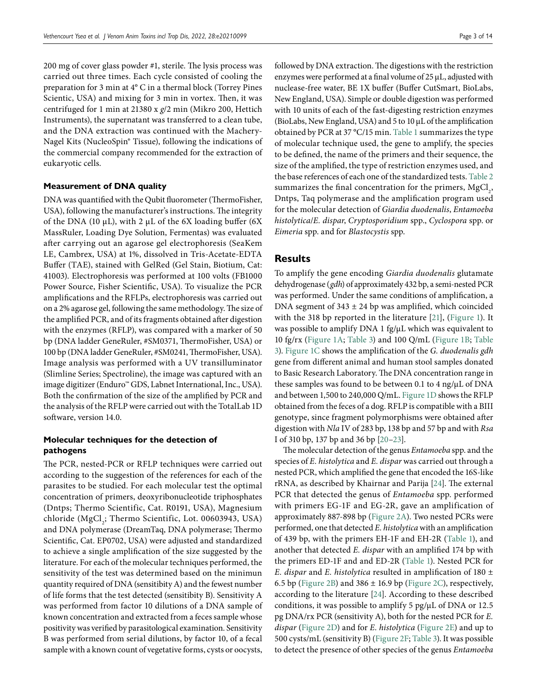200 mg of cover glass powder #1, sterile. The lysis process was carried out three times. Each cycle consisted of cooling the preparation for 3 min at 4° C in a thermal block (Torrey Pines Scientic, USA) and mixing for 3 min in vortex. Then, it was centrifuged for 1 min at 21380 x *g*/2 min (Mikro 200, Hettich Instruments), the supernatant was transferred to a clean tube, and the DNA extraction was continued with the Machery-Nagel Kits (NucleoSpin® Tissue), following the indications of the commercial company recommended for the extraction of eukaryotic cells.

#### **Measurement of DNA quality**

DNA was quantified with the Qubit fluorometer (ThermoFisher, USA), following the manufacturer's instructions. The integrity of the DNA (10  $\mu$ L), with 2  $\mu$ L of the 6X loading buffer (6X) MassRuler, Loading Dye Solution, Fermentas) was evaluated after carrying out an agarose gel electrophoresis (SeaKem LE, Cambrex, USA) at 1%, dissolved in Tris-Acetate-EDTA Buffer (TAE), stained with GelRed (Gel Stain, Biotium, Cat: 41003). Electrophoresis was performed at 100 volts (FB1000 Power Source, Fisher Scientific, USA). To visualize the PCR amplifications and the RFLPs, electrophoresis was carried out on a 2% agarose gel, following the same methodology. The size of the amplified PCR, and of its fragments obtained after digestion with the enzymes (RFLP), was compared with a marker of 50 bp (DNA ladder GeneRuler, #SM0371, ThermoFisher, USA) or 100 bp (DNA ladder GeneRuler, #SM0241, ThermoFisher, USA). Image analysis was performed with a UV transilluminator (Slimline Series; Spectroline), the image was captured with an image digitizer (Enduro™ GDS, Labnet International, Inc., USA). Both the confirmation of the size of the amplified by PCR and the analysis of the RFLP were carried out with the TotalLab 1D software, version 14.0.

# **Molecular techniques for the detection of pathogens**

The PCR, nested-PCR or RFLP techniques were carried out according to the suggestion of the references for each of the parasites to be studied. For each molecular test the optimal concentration of primers, deoxyribonucleotide triphosphates (Dntps; Thermo Scientific, Cat. R0191, USA), Magnesium chloride (MgCl<sub>2</sub>; Thermo Scientific, Lot. 00603943, USA) and DNA polymerase (DreamTaq, DNA polymerase; Thermo Scientific, Cat. EP0702, USA) were adjusted and standardized to achieve a single amplification of the size suggested by the literature. For each of the molecular techniques performed, the sensitivity of the test was determined based on the minimun quantity required of DNA (sensitibity A) and the fewest number of life forms that the test detected (sensitibity B). Sensitivity A was performed from factor 10 dilutions of a DNA sample of known concentration and extracted from a feces sample whose positivity was verified by parasitological examination. Sensitivity B was performed from serial dilutions, by factor 10, of a fecal sample with a known count of vegetative forms, cysts or oocysts,

enzymes were performed at a final volume of 25 μL, adjusted with nuclease-free water, BE 1X buffer (Buffer CutSmart, BioLabs, New England, USA). Simple or double digestion was performed with 10 units of each of the fast-digesting restriction enzymes (BioLabs, New England, USA) and 5 to 10 μL of the amplification obtained by PCR at 37 °C/15 min. [Table](#page-3-0) 1 summarizes the type of molecular technique used, the gene to amplify, the species to be defined, the name of the primers and their sequence, the size of the amplified, the type of restriction enzymes used, and the base references of each one of the standardized tests. [Table](#page-4-0) 2 summarizes the final concentration for the primers,  $MgCl<sub>2</sub>$ , Dntps, Taq polymerase and the amplification program used for the molecular detection of *Giardia duodenalis*, *Entamoeba histolytica*/*E. dispar*, *Cryptosporidium* spp., *Cyclospora* spp. or *Eimeria* spp. and for *Blastocystis* spp.

# **Results**

To amplify the gene encoding *Giardia duodenalis* glutamate dehydrogenase (*gdh*) of approximately 432 bp, a semi-nested PCR was performed. Under the same conditions of amplification, a DNA segment of  $343 \pm 24$  bp was amplified, which coincided with the 318 bp reported in the literature [\[21](#page-12-3)], [\(Figure](#page-5-0) 1). It was possible to amplify DNA 1 fg/µL which was equivalent to 10 fg/rx ([Figure](#page-5-0) 1A; [Table](#page-5-1) 3) and 100 Q/mL [\(Figure](#page-5-0) 1B; [Table](#page-5-1) [3\)](#page-5-1). [Figure](#page-5-0) 1C shows the amplification of the *G. duodenalis gdh* gene from different animal and human stool samples donated to Basic Research Laboratory. The DNA concentration range in these samples was found to be between 0.1 to 4 ng/µL of DNA and between 1,500 to 240,000 Q/mL. [Figure](#page-5-0) 1D shows the RFLP obtained from the feces of a dog. RFLP is compatible with a BIII genotype, since fragment polymorphisms were obtained after digestion with *Nla* IV of 283 bp, 138 bp and 57 bp and with *Rsa* I of 310 bp, 137 bp and 36 bp [\[20](#page-12-2)[–23\]](#page-12-4).

The molecular detection of the genus *Entamoeba* spp. and the species of *E. histolytica* and *E. dispar* was carried out through a nested PCR, which amplified the gene that encoded the 16S-like rRNA, as described by Khairnar and Parija [\[24\]](#page-12-5). The external PCR that detected the genus of *Entamoeba* spp. performed with primers EG-1F and EG-2R, gave an amplification of approximately 887-898 bp ([Figure](#page-6-0) 2A). Two nested PCRs were performed, one that detected *E. histolytica* with an amplification of 439 bp, with the primers EH-1F and EH-2R ([Table](#page-3-0) 1), and another that detected *E. dispar* with an amplified 174 bp with the primers ED-1F and and ED-2R [\(Table](#page-3-0) 1). Nested PCR for *E. dispar* and *E. histolytica* resulted in amplification of 180 ± 6.5 bp ([Figure](#page-6-0) 2B) and  $386 \pm 16.9$  bp [\(Figure](#page-6-0) 2C), respectively, according to the literature [\[24](#page-12-5)]. According to these described conditions, it was possible to amplify 5 pg/µL of DNA or 12.5 pg DNA/rx PCR (sensitivity A), both for the nested PCR for *E. dispar* [\(Figure](#page-6-0) 2D) and for *E. histolytica* [\(Figure](#page-6-0) 2E) and up to 500 cysts/mL (sensitivity B) [\(Figure](#page-6-0) 2F; [Table](#page-5-1) 3). It was possible to detect the presence of other species of the genus *Entamoeba*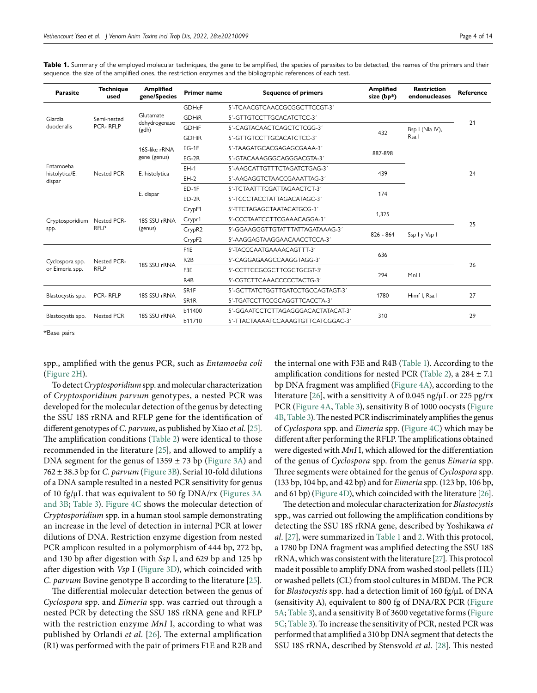| Parasite                              | <b>Technique</b><br>used       | <b>Amplified</b><br>gene/Species    | <b>Primer name</b> | <b>Sequence of primers</b>         | <b>Amplified</b><br>size (bp*) | <b>Restriction</b><br>endonucleases | <b>Reference</b> |
|---------------------------------------|--------------------------------|-------------------------------------|--------------------|------------------------------------|--------------------------------|-------------------------------------|------------------|
| Giardia<br>duodenalis                 | Semi-nested<br><b>PCR-RFLP</b> | Glutamate<br>dehydrogenase<br>(gdh) | <b>GDHeF</b>       | 5'-TCAACGTCAACCGCGGCTTCCGT-3'      |                                |                                     |                  |
|                                       |                                |                                     | <b>GDHiR</b>       | 5'-GTTGTCCTTGCACATCTCC-3'          |                                |                                     |                  |
|                                       |                                |                                     | <b>GDHiF</b>       | 5'-CAGTACAACTCAGCTCTCGG-3'         | 432                            | Bsp I (Nla IV),<br>Rsa I            | 21               |
|                                       |                                |                                     | <b>GDHiR</b>       | 5'-GTTGTCCTTGCACATCTCC-3'          |                                |                                     |                  |
| Entamoeba<br>histolytica/E.<br>dispar | <b>Nested PCR</b>              | 16S-like rRNA<br>gene (genus)       | $EG-1F$            | 5'-TAAGATGCACGAGAGCGAAA-3'         | 887-898                        |                                     |                  |
|                                       |                                |                                     | $EG-2R$            | 5'-GTACAAAGGGCAGGGACGTA-3'         |                                |                                     | 24               |
|                                       |                                | E. histolytica                      | $EH-1$             | 5'-AAGCATTGTTTCTAGATCTGAG-3'       | 439                            |                                     |                  |
|                                       |                                |                                     | $EH-2$             | 5'-AAGAGGTCTAACCGAAATTAG-3'        |                                |                                     |                  |
|                                       |                                | E. dispar                           | $ED-1F$            | 5'-TCTAATTTCGATTAGAACTCT-3'        | 174                            |                                     |                  |
|                                       |                                |                                     | $ED-2R$            | 5'-TCCCTACCTATTAGACATAGC-3'        |                                |                                     |                  |
| Cryptosporidium<br>spp.               | Nested PCR-<br><b>RFLP</b>     | 18S SSU rRNA<br>(genus)             | CrypF1             | 5'-TTCTAGAGCTAATACATGCG-3'         | 1,325                          |                                     |                  |
|                                       |                                |                                     | Crypr1             | 5'-CCCTAATCCTTCGAAACAGGA-3'        |                                |                                     | 25               |
|                                       |                                |                                     | CrypR <sub>2</sub> | 5'-GGAAGGGTTGTATTTATTAGATAAAG-3'   | $826 - 864$                    | Ssp I y Vsp I                       |                  |
|                                       |                                |                                     | CrypF <sub>2</sub> | 5'-AAGGAGTAAGGAACAACCTCCA-3'       |                                |                                     |                  |
| Cyclospora spp.<br>or Eimeria spp.    | Nested PCR-<br><b>RFLP</b>     | 18S SSU rRNA                        | F <sub>1</sub> E   | 5'-TACCCAATGAAAACAGTTT-3'          | 636                            |                                     | 26               |
|                                       |                                |                                     | R <sub>2</sub> B   | 5'-CAGGAGAAGCCAAGGTAGG-3'          |                                |                                     |                  |
|                                       |                                |                                     | F3E                | 5'-CCTTCCGCGCTTCGCTGCGT-3'         | 294                            | Mnl I                               |                  |
|                                       |                                |                                     | R <sub>4</sub> B   | 5'-CGTCTTCAAACCCCCTACTG-3'         |                                |                                     |                  |
| Blastocystis spp.                     | PCR-RFLP                       | 18S SSU rRNA                        | SR <sub>1F</sub>   | 5'-GCTTATCTGGTTGATCCTGCCAGTAGT-3'  | 1780                           | Himf I, Rsa I                       | 27               |
|                                       |                                |                                     | SR <sub>1</sub> R  | 5'-TGATCCTTCCGCAGGTTCACCTA-3'      |                                |                                     |                  |
| Blastocystis spp.                     | <b>Nested PCR</b>              | 18S SSU rRNA                        | <b>b11400</b>      | 5'-GGAATCCTCTTAGAGGGACACTATACAT-3' | 310                            |                                     | 29               |
|                                       |                                |                                     | b11710             | 5'-TTACTAAAATCCAAAGTGTTCATCGGAC-3' |                                |                                     |                  |

<span id="page-3-0"></span>**Table 1.** Summary of the employed molecular techniques, the gene to be amplified, the species of parasites to be detected, the names of the primers and their sequence, the size of the amplified ones, the restriction enzymes and the bibliographic references of each test.

\*Base pairs

spp., amplified with the genus PCR, such as *Entamoeba coli* [\(Figure](#page-6-0) 2H).

To detect *Cryptosporidium* spp. and molecular characterization of *Cryptosporidium parvum* genotypes, a nested PCR was developed for the molecular detection of the genus by detecting the SSU 18S rRNA and RFLP gene for the identification of different genotypes of *C. parvum*, as published by Xiao *et al*. [\[25\]](#page-12-6). The amplification conditions ([Table](#page-4-0) 2) were identical to those recommended in the literature [\[25\]](#page-12-6), and allowed to amplify a DNA segment for the genus of  $1359 \pm 73$  bp ([Figure](#page-7-0) 3A) and 762 ± 38.3 bp for *C. parvum* ([Figure](#page-7-0) 3B). Serial 10-fold dilutions of a DNA sample resulted in a nested PCR sensitivity for genus of 10 fg/ $\mu$ L that was equivalent to 50 fg DNA/rx [\(Figures](#page-7-0) 3A) [and](#page-7-0) 3B; [Table](#page-5-1) 3). [Figure](#page-7-1) 4C shows the molecular detection of *Cryptosporidium* spp. in a human stool sample demonstrating an increase in the level of detection in internal PCR at lower dilutions of DNA. Restriction enzyme digestion from nested PCR amplicon resulted in a polymorphism of 444 bp, 272 bp, and 130 bp after digestion with *Ssp* I, and 629 bp and 125 bp after digestion with *Vsp* I [\(Figure](#page-7-0) 3D), which coincided with *C. parvum* Bovine genotype B according to the literature [\[25](#page-12-6)].

The differential molecular detection between the genus of *Cyclospora* spp. and *Eimeria* spp. was carried out through a nested PCR by detecting the SSU 18S rRNA gene and RFLP with the restriction enzyme *MnI* I, according to what was published by Orlandi *et al*. [\[26\]](#page-12-7). The external amplification (R1) was performed with the pair of primers F1E and R2B and the internal one with F3E and R4B ([Table](#page-3-0) 1). According to the amplification conditions for nested PCR ([Table](#page-4-0) 2), a  $284 \pm 7.1$ bp DNA fragment was amplified ([Figure](#page-7-1) 4A), according to the literature [\[26](#page-12-7)], with a sensitivity A of 0.045 ng/µL or 225 pg/rx PCR [\(Figure](#page-7-1) 4A, [Table](#page-5-1) 3), sensitivity B of 1000 oocysts [\(Figure](#page-7-1) [4B,](#page-7-1) [Table](#page-5-1) 3). The nested PCR indiscriminately amplifies the genus of *Cyclospora* spp. and *Eimeria* spp. [\(Figure](#page-7-1) 4C) which may be different after performing the RFLP. The amplifications obtained were digested with *MnI* I, which allowed for the differentiation of the genus of *Cyclospora* spp. from the genus *Eimeria* spp. Three segments were obtained for the genus of *Cyclospora* spp. (133 bp, 104 bp, and 42 bp) and for *Eimeria* spp. (123 bp, 106 bp, and 61 bp) [\(Figure](#page-7-1) 4D), which coincided with the literature [\[26](#page-12-7)].

The detection and molecular characterization for *Blastocystis* spp., was carried out following the amplification conditions by detecting the SSU 18S rRNA gene, described by Yoshikawa *et al*. [\[27](#page-12-8)], were summarized in [Table](#page-3-0) 1 and [2.](#page-4-0) With this protocol, a 1780 bp DNA fragment was amplified detecting the SSU 18S rRNA, which was consistent with the literature [\[27\]](#page-12-8). This protocol made it possible to amplify DNA from washed stool pellets (HL) or washed pellets (CL) from stool cultures in MBDM. The PCR for *Blastocystis* spp. had a detection limit of 160 fg/µL of DNA (sensitivity A), equivalent to 800 fg of DNA/RX PCR [\(Figure](#page-8-0) [5A;](#page-8-0) [Table](#page-5-1) 3), and a sensitivity B of 3600 vegetative forms ([Figure](#page-8-0) [5C;](#page-8-0) [Table](#page-5-1) 3). To increase the sensitivity of PCR, nested PCR was performed that amplified a 310 bp DNA segment that detects the SSU 18S rRNA, described by Stensvold *et al.* [\[28](#page-12-9)]. This nested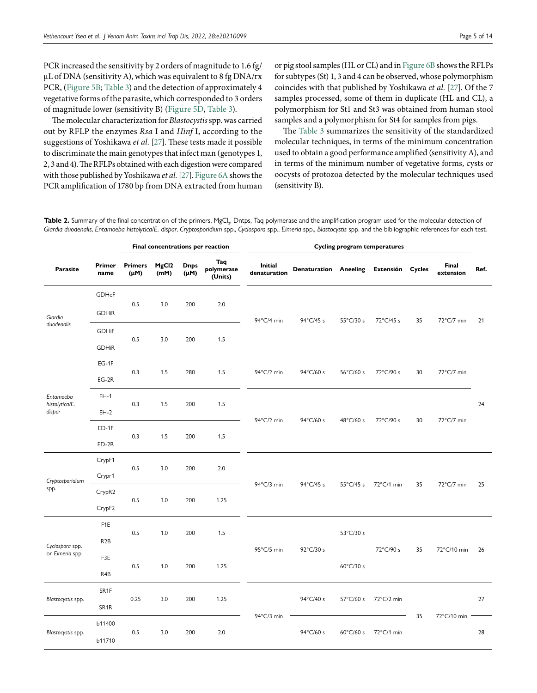PCR increased the sensitivity by 2 orders of magnitude to 1.6 fg/ µL of DNA (sensitivity A), which was equivalent to 8 fg DNA/rx PCR, [\(Figure](#page-8-0) 5B; [Table](#page-5-1) 3) and the detection of approximately 4 vegetative forms of the parasite, which corresponded to 3 orders of magnitude lower (sensitivity B) ([Figure](#page-8-0) 5D, [Table](#page-5-1) 3).

The molecular characterization for *Blastocystis* spp. was carried out by RFLP the enzymes *Rsa* I and *Hinf* I, according to the suggestions of Yoshikawa *et al.* [\[27](#page-12-8)]. These tests made it possible to discriminate the main genotypes that infect man (genotypes 1, 2, 3 and 4). The RFLPs obtained with each digestion were compared with those published by Yoshikawa *et al.* [\[27](#page-12-8)]. [Figure](#page-8-1) 6A shows the PCR amplification of 1780 bp from DNA extracted from human or pig stool samples (HL or CL) and in [Figure](#page-8-1) 6B shows the RFLPs for subtypes (St) 1, 3 and 4 can be observed, whose polymorphism coincides with that published by Yoshikawa *et al.* [\[27](#page-12-8)]. Of the 7 samples processed, some of them in duplicate (HL and CL), a polymorphism for St1 and St3 was obtained from human stool samples and a polymorphism for St4 for samples from pigs.

The [Table](#page-5-1) 3 summarizes the sensitivity of the standardized molecular techniques, in terms of the minimum concentration used to obtain a good performance amplified (sensitivity A), and in terms of the minimum number of vegetative forms, cysts or oocysts of protozoa detected by the molecular techniques used (sensitivity B).

<span id="page-4-0"></span>**Table 2.** Summary of the final concentration of the primers, MgCl<sub>2</sub>, Dntps, Taq polymerase and the amplification program used for the molecular detection of *Giardia duodenalis*, *Entamoeba histolytica*/*E. dispar*, *Cryptosporidium* spp., *Cyclospora* spp., *Eimeria* spp., *Blastocystis* spp. and the bibliographic references for each test.

|                                       |                   | Final concentrations per reaction |                           |                          | <b>Cycling program temperatures</b> |                                |                              |                     |                  |        |                    |      |
|---------------------------------------|-------------------|-----------------------------------|---------------------------|--------------------------|-------------------------------------|--------------------------------|------------------------------|---------------------|------------------|--------|--------------------|------|
| Parasite                              | Primer<br>name    | <b>Primers</b><br>(µM)            | MgCl <sub>2</sub><br>(mM) | <b>Dnps</b><br>$(\mu M)$ | Taq<br>polymerase<br>(Units)        | <b>Initial</b><br>denaturation | <b>Denaturation Aneeling</b> |                     | <b>Extensión</b> | Cycles | Final<br>extension | Ref. |
|                                       | GDHeF             |                                   |                           |                          |                                     |                                |                              |                     |                  |        |                    |      |
| Giardia<br>duodenalis                 | <b>GDHiR</b>      | 0.5                               | 3.0                       | 200                      | 2.0                                 | 94°C/4 min                     | 94°C/45 s                    | 55°C/30 s           | 72°C/45 s        | 35     | 72°C/7 min         | 21   |
|                                       | <b>GDHiF</b>      | 0.5                               | 3.0                       | 200                      | 1.5                                 |                                |                              |                     |                  |        |                    |      |
|                                       | <b>GDHiR</b>      |                                   |                           |                          |                                     |                                |                              |                     |                  |        |                    |      |
| Entamoeba<br>histolytica/E.<br>dispar | $EG-1F$           |                                   | 1.5                       | 280                      | 1.5                                 | 94°C/2 min                     | 94°C/60 s                    | 56°C/60 s           | 72°C/90 s        | 30     | 72°C/7 min         |      |
|                                       | $EG-2R$           | 0.3                               |                           |                          |                                     |                                |                              |                     |                  |        |                    |      |
|                                       | $EH-1$            |                                   | 1.5                       | 200                      | 1.5                                 | 94°C/2 min                     | 94°C/60 s                    | 48°C/60 s           | 72°C/90 s        | 30     | 72°C/7 min         |      |
|                                       | $EH-2$            | 0.3                               |                           |                          |                                     |                                |                              |                     |                  |        |                    | 24   |
|                                       | $ED-1F$           |                                   |                           | 200                      | 1.5                                 |                                |                              |                     |                  |        |                    |      |
|                                       | $ED-2R$           | 0.3                               | 1.5                       |                          |                                     |                                |                              |                     |                  |        |                    |      |
| Cryptosporidium<br>spp.               | CrypF1            | 0.5                               | 3.0                       | 200                      | 2.0                                 |                                | 94°C/45 s                    | $55^{\circ}$ C/45 s | 72°C/1 min       | 35     | 72°C/7 min         | 25   |
|                                       | Crypr1            |                                   |                           |                          |                                     | 94°C/3 min                     |                              |                     |                  |        |                    |      |
|                                       | CrypR2            | 0.5                               | 3.0                       | 200                      | 1.25                                |                                |                              |                     |                  |        |                    |      |
|                                       | CrypF2            |                                   |                           |                          |                                     |                                |                              |                     |                  |        |                    |      |
| Cyclospora spp.<br>or Eimeria spp.    | F <sub>1</sub> E  | 0.5                               | 1.0                       | 200                      | 1.5                                 | 95°C/5 min                     | 92°C/30 s                    | 53°C/30 s           |                  | 35     | 72°C/10 min        | 26   |
|                                       | R <sub>2</sub> B  |                                   |                           |                          |                                     |                                |                              |                     |                  |        |                    |      |
|                                       | F3E               | 0.5                               | 1.0                       | 200                      | 1.25                                |                                |                              | 60°C/30 s           | 72°C/90 s        |        |                    |      |
|                                       | R4B               |                                   |                           |                          |                                     |                                |                              |                     |                  |        |                    |      |
| Blastocystis spp.                     | SR1F              |                                   | 3.0                       | 200                      | 1.25                                | 94°C/3 min                     | 94°C/40 s                    | 57°C/60 s           | 72°C/2 min       |        |                    | 27   |
|                                       | SR <sub>1</sub> R | 0.25                              |                           |                          |                                     |                                |                              |                     |                  |        |                    |      |
| Blastocystis spp.                     | b11400            | 0.5                               |                           |                          | 2.0                                 |                                | 94°C/60 s                    | $60^{\circ}$ C/60 s | 72°C/1 min       | 35     | 72°C/10 min        |      |
|                                       | b11710            |                                   | 3.0                       | 200                      |                                     |                                |                              |                     |                  |        |                    | 28   |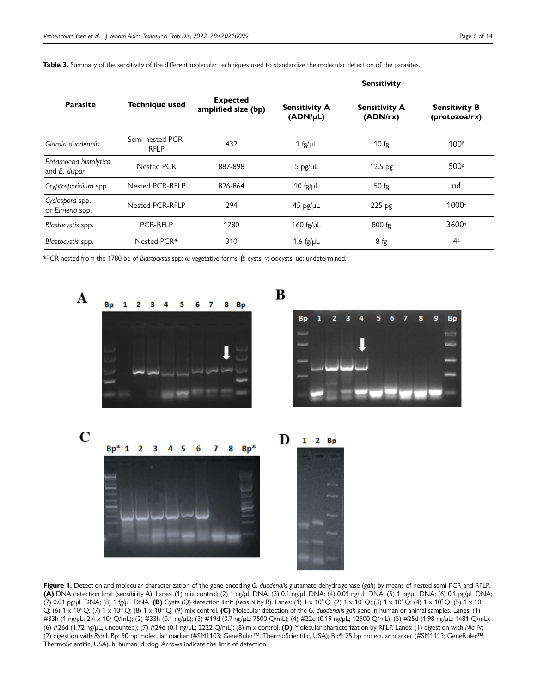|                                        |                                 |                                        | <b>Sensitivity</b>               |                                  |                                       |  |  |
|----------------------------------------|---------------------------------|----------------------------------------|----------------------------------|----------------------------------|---------------------------------------|--|--|
| <b>Parasite</b>                        | <b>Technique used</b>           | <b>Expected</b><br>amplified size (bp) | <b>Sensitivity A</b><br>(ADN/µL) | <b>Sensitivity A</b><br>(ADN/rx) | <b>Sensitivity B</b><br>(protozoa/rx) |  |  |
| Giardia duodenalis                     | Semi-nested PCR-<br><b>RFLP</b> | 432                                    | 1 fg/ $\mu$ L                    | $10$ fg                          | 100 <sup>β</sup>                      |  |  |
| Entamoeba histolytica<br>and E. dispar | <b>Nested PCR</b>               | 887-898                                | 5 pg/µL                          | 12.5 <sub>pg</sub>               | 500 <sup>ß</sup>                      |  |  |
| Cryptosporidium spp.                   | Nested PCR-RFLP                 | 826-864                                | 10 $fg/\mu L$                    | $50$ fg                          | ud                                    |  |  |
| Cyclospora spp.<br>or Eimeria spp.     | <b>Nested PCR-RFLP</b>          | 294                                    | $45$ pg/µL                       | 225 pg                           | 1000 <sup>y</sup>                     |  |  |
| Blastocystis spp.                      | <b>PCR-RFLP</b>                 | 1780                                   | 160 fg/ $\mu$ L                  | 800 fg                           | 3600 <sup>a</sup>                     |  |  |
| Blastocystis spp.                      | Nested PCR*                     | 310                                    | 1.6 $fg/\mu L$                   | 8 fg                             | 4 <sup>a</sup>                        |  |  |

<span id="page-5-1"></span>**Table 3.** Summary of the sensitivity of the different molecular techniques used to standardize the molecular detection of the parasites.

\*PCR nested from the 1780 bp of *Blastocystis* spp; α: vegetative forms; β: cysts; γ: oocysts; ud: undetermined.



<span id="page-5-0"></span>**Figure 1.** Detection and molecular characterization of the gene encoding *G. duodenalis* glutamate dehydrogenase (*gdh*) by means of nested semi-PCR and RFLP. **(A)** DNA detection limit (sensibility A). Lanes: (1) mix control; (2) 1 ng/µL DNA; (3) 0.1 ng/µL DNA; (4) 0.01 ng/µL DNA; (5) 1 pg/µL DNA; (6) 0.1 pg/µL DNA; (7) 0.01 pg/µL DNA; (8) 1 fg/µL DNA. **(B)** Cysts (Q) detection limit (sensibility B). Lanes: (1) 1 x 105 Q; (2) 1 x 104 Q; (3) 1 x 103 Q; (4) 1 x 102 Q; (5) 1 x 101 Q; (6) 1 x 10<sup>0</sup> Q; (7) 1 x 10<sup>-1</sup> Q; (8) 1 x 10<sup>-2</sup> Q; (9) mix control. **(C)** Molecular detection of the *G. duodenalis gdh gene in human or animal samples. Lanes:* (1) #33h (1 ng/µL; 2.4 x 105 Q/mL); (2) #33h (0.1 ng/µL); (3) #19d (3.7 ng/µL; 7500 Q/mL); (4) #22d (0.19 ng/µL; 12500 Q/mL); (5) #25d (1.98 ng/µL; 1481 Q/mL); (6) #26d (1.72 ng/µL, uncounted); (7) #24d (0.1 ng/µL; 2222 Q/mL); (8) mix control. **(D)** Molecular characterization by RFLP. Lanes: (1) digestion with *Nla* IV; (2) digestion with *Rsa* I. Bp: 50 bp molecular marker (#SM1103; GeneRuler™, ThermoScientific, USA); Bp\*: 75 bp molecular marker (#SM1113; GeneRuler™, ThermoScientific, USA). h: human; d: dog. Arrows indicate the limit of detection.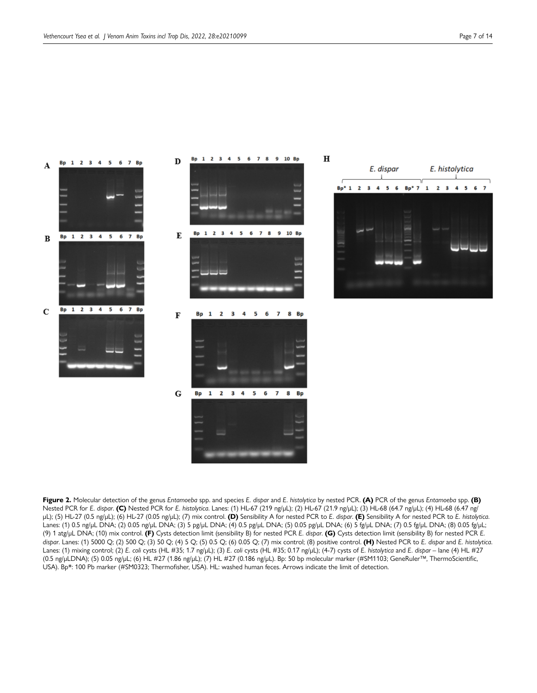

<span id="page-6-0"></span>**Figure 2.** Molecular detection of the genus *Entamoeba* spp. and species *E. dispar* and *E. histolytica* by nested PCR. **(A)** PCR of the genus *Entamoeba* spp. **(B)** Nested PCR for *E. dispar*. **(C)** Nested PCR for *E. histolytica*. Lanes: (1) HL-67 (219 ng/µL); (2) HL-67 (21.9 ng/µL); (3) HL-68 (64.7 ng/µL); (4) HL-68 (6.47 ng/ µL); (5) HL-27 (0.5 ng/µL); (6) HL-27 (0.05 ng/µL); (7) mix control. **(D)** Sensibility A for nested PCR to *E. dispar*. **(E)** Sensibility A for nested PCR to *E. histolytica*. Lanes: (1) 0.5 ng/µL DNA; (2) 0.05 ng/µL DNA; (3) 5 pg/µL DNA; (4) 0.5 pg/µL DNA; (5) 0.05 pg/µL DNA; (6) 5 fg/µL DNA; (7) 0.5 fg/µL DNA; (8) 0.05 fg/µL; (9) 1 atg/µL DNA; (10) mix control. **(F)** Cysts detection limit (sensibility B) for nested PCR *E. dispar*. **(G)** Cysts detection limit (sensibility B) for nested PCR *E. dispar*. Lanes: (1) 5000 Q; (2) 500 Q; (3) 50 Q; (4) 5 Q; (5) 0.5 Q; (6) 0.05 Q; (7) mix control; (8) positive control. **(H)** Nested PCR to *E. dispar* and *E. histolytica*. Lanes: (1) mixing control; (2) *E. coli* cysts (HL #35; 1.7 ng/µL); (3) *E. coli* cysts (HL #35; 0.17 ng/µL); (4-7) cysts of *E. histolytica* and *E. dispar* – lane (4) HL #27 (0.5 ng/µLDNA); (5) 0.05 ng/µL; (6) HL #27 (1.86 ng/µL); (7) HL #27 (0.186 ng/µL). Bp: 50 bp molecular marker (#SM1103; GeneRuler™, ThermoScientific, USA). Bp\*: 100 Pb marker (#SM0323; Thermofisher, USA). HL: washed human feces. Arrows indicate the limit of detection.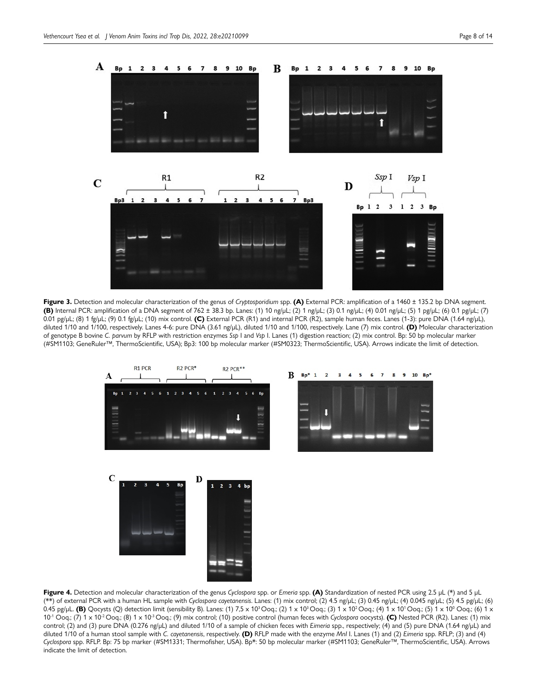

<span id="page-7-0"></span>**Figure 3.** Detection and molecular characterization of the genus of *Cryptosporidium* spp. **(A)** External PCR: amplification of a 1460 ± 135.2 bp DNA segment. **(B)** Internal PCR: amplification of a DNA segment of 762 ± 38.3 bp. Lanes: (1) 10 ng/µL; (2) 1 ng/µL; (3) 0.1 ng/µL; (4) 0.01 ng/µL; (5) 1 pg/µL; (6) 0.1 pg/µL; (7) 0.01 pg/µL; (8) 1 fg/µL; (9) 0.1 fg/µL; (10) mix control. **(C)** External PCR (R1) and internal PCR (R2), sample human feces. Lanes (1-3): pure DNA (1.64 ng/µL), diluted 1/10 and 1/100, respectively. Lanes 4-6: pure DNA (3.61 ng/µL), diluted 1/10 and 1/100, respectively. Lane (7) mix control. **(D)** Molecular characterization of genotype B bovine *C. parvum* by RFLP with restriction enzymes *Ssp* I and *Vsp* I. Lanes (1) digestion reaction; (2) mix control. Bp: 50 bp molecular marker (#SM1103; GeneRuler™, ThermoScientific, USA); Bp3: 100 bp molecular marker (#SM0323; ThermoScientific, USA). Arrows indicate the limit of detection.



<span id="page-7-1"></span>**Figure 4.** Detection and molecular characterization of the genus *Cyclospora* spp. or *Emeria* spp. **(A)** Standardization of nested PCR using 2.5 µL (\*) and 5 µL (\*\*) of external PCR with a human HL sample with *Cyclospora cayetanensis*. Lanes: (1) mix control; (2) 4.5 ng/µL; (3) 0.45 ng/µL; (4) 0.045 ng/µL; (5) 4.5 pg/µL; (6) 0.45 pg/µL. **(B)** Qocysts (Q) detection limit (sensibility B). Lanes: (1) 7,5 x 10<sup>3</sup> Ooq.; (2) 1 x 10<sup>3</sup> Ooq.; (3) 1 x 10<sup>2</sup> Ooq.; (4) 1 x 10<sup>1</sup> Ooq.; (5) 1 x 10<sup>0</sup> Ooq.; (6) 1 x 10-1 Ooq.; (7) 1 x 10-2 Ooq.; (8) 1 x 10-3 Ooq.; (9) mix control; (10) positive control (human feces with *Cyclospora* oocysts). **(C)** Nested PCR (R2). Lanes: (1) mix control; (2) and (3) pure DNA (0.276 ng/µL) and diluted 1/10 of a sample of chicken feces with *Eimeria* spp., respectively; (4) and (5) pure DNA (1.64 ng/µL) and diluted 1/10 of a human stool sample with *C. cayetanensis*, respectively. **(D)** RFLP made with the enzyme *MnI* I. Lanes (1) and (2) *Eimeria* spp. RFLP; (3) and (4) *Cyclospora* spp. RFLP. Bp: 75 bp marker (#SM1331; Thermofisher, USA). Bp\*: 50 bp molecular marker (#SM1103; GeneRuler™, ThermoScientific, USA). Arrows indicate the limit of detection.

**THE**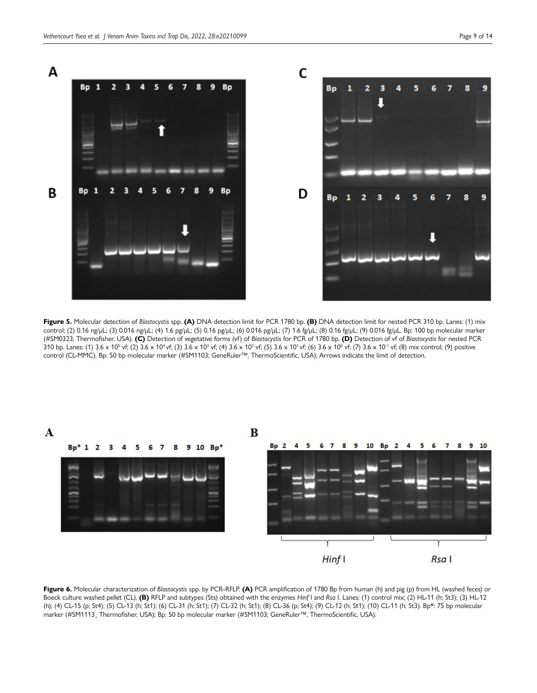

<span id="page-8-0"></span>**Figure 5.** Molecular detection of *Blastocystis* spp. **(A)** DNA detection limit for PCR 1780 bp. **(B)** DNA detection limit for nested PCR 310 bp. Lanes: (1) mix control; (2) 0.16 ng/µL; (3) 0.016 ng/µL; (4) 1.6 pg/µL; (5) 0.16 pg/µL; (6) 0.016 pg/µL; (7) 1.6 fg/µL; (8) 0.16 fg/µL; (9) 0.016 fg/µL. Bp: 100 bp molecular marker (#SM0323; Thermofisher, USA). **(C)** Detection of vegetative forms (vf) of *Blastocystis* for PCR of 1780 bp. **(D)** Detection of vf of *Blastocystis* for nested PCR 310 bp. Lanes: (1) 3.6 x 10<sup>5</sup> vf; (2) 3.6 x 10<sup>4</sup> vf; (3) 3.6 x 10<sup>3</sup> vf; (4) 3.6 x 10<sup>2</sup> vf; (5) 3.6 x 10<sup>1</sup> vf; (6) 3.6 x 10<sup>0</sup> vf; (7) 3.6 x 10<sup>-1</sup> vf; (8) mix control; (9) positive control (CL-MMC). Bp: 50 bp molecular marker (#SM1103; GeneRuler™, ThermoScientific, USA); Arrows indicate the limit of detection.



<span id="page-8-1"></span>**Figure 6.** Molecular characterization of *Blastocystis* spp. by PCR-RFLP. **(A)** PCR amplification of 1780 Bp from human (h) and pig (p) from HL (washed feces) or Boeck culture washed pellet (CL). **(B)** RFLP and subtypes (Sts) obtained with the enzymes *Hinf* I and *Rsa* I. Lanes: (1) control mix; (2) HL-11 (h; St3); (3) HL-12 (h); (4) CL-15 (p; St4); (5) CL-13 (h; St1); (6) CL-31 (h; St1); (7) CL-32 (h; St1); (8) CL-36 (p; St4); (9) CL-12 (h; St1); (10) CL-11 (h; St3). Bp\*: 75 bp molecular marker (#SM1113¸ Thermofisher, USA); Bp: 50 bp molecular marker (#SM1103; GeneRuler™, ThermoScientific, USA).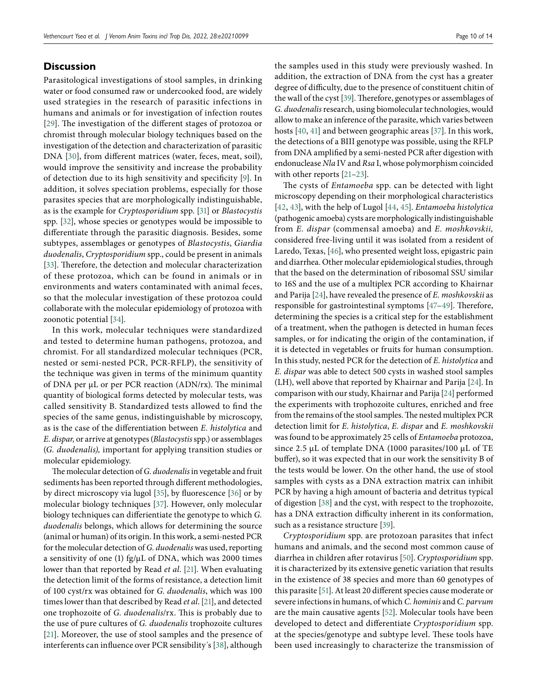# **Discussion**

Parasitological investigations of stool samples, in drinking water or food consumed raw or undercooked food, are widely used strategies in the research of parasitic infections in humans and animals or for investigation of infection routes [\[29](#page-12-10)]. The investigation of the different stages of protozoa or chromist through molecular biology techniques based on the investigation of the detection and characterization of parasitic DNA [\[30](#page-12-11)], from different matrices (water, feces, meat, soil), would improve the sensitivity and increase the probability of detection due to its high sensitivity and specificity [\[9](#page-11-8)]. In addition, it solves speciation problems, especially for those parasites species that are morphologically indistinguishable, as is the example for *Cryptosporidium* spp. [\[31\]](#page-12-12) or *Blastocystis* spp. [\[32\]](#page-12-13), whose species or genotypes would be impossible to differentiate through the parasitic diagnosis. Besides, some subtypes, assemblages or genotypes of *Blastocystis*, *Giardia duodenalis*, *Cryptosporidium* spp., could be present in animals [\[33\]](#page-12-14). Therefore, the detection and molecular characterization of these protozoa, which can be found in animals or in environments and waters contaminated with animal feces, so that the molecular investigation of these protozoa could collaborate with the molecular epidemiology of protozoa with zoonotic potential [\[34\]](#page-12-15).

In this work, molecular techniques were standardized and tested to determine human pathogens, protozoa, and chromist. For all standardized molecular techniques (PCR, nested or semi-nested PCR, PCR-RFLP), the sensitivity of the technique was given in terms of the minimum quantity of DNA per µL or per PCR reaction (ADN/rx). The minimal quantity of biological forms detected by molecular tests, was called sensitivity B. Standardized tests allowed to find the species of the same genus, indistinguishable by microscopy, as is the case of the differentiation between *E. histolytica* and *E. dispar,* or arrive at genotypes (*Blastocystis* spp.) or assemblages (*G. duodenalis),* important for applying transition studies or molecular epidemiology.

The molecular detection of *G. duodenalis* in vegetable and fruit sediments has been reported through different methodologies, by direct microscopy via lugol [\[35](#page-12-16)], by fluorescence [\[36](#page-12-17)] or by molecular biology techniques [\[37\]](#page-12-18). However, only molecular biology techniques can differientiate the genotype to which *G. duodenalis* belongs, which allows for determining the source (animal or human) of its origin. In this work, a semi-nested PCR for the molecular detection of *G. duodenalis* was used, reporting a sensitivity of one (1) fg/µL of DNA, which was 2000 times lower than that reported by Read *et al*. [\[21\]](#page-12-3). When evaluating the detection limit of the forms of resistance, a detection limit of 100 cyst/rx was obtained for *G. duodenalis*, which was 100 times lower than that described by Read *et al*. [\[21\]](#page-12-3), and detected one trophozoite of *G. duodenalis*/rx. This is probably due to the use of pure cultures of *G. duodenalis* trophozoite cultures [\[21](#page-12-3)]. Moreover, the use of stool samples and the presence of interferents can influence over PCR sensibility´s [\[38](#page-12-19)], although the samples used in this study were previously washed. In addition, the extraction of DNA from the cyst has a greater degree of difficulty, due to the presence of constituent chitin of the wall of the cyst [\[39\]](#page-12-20). Therefore, genotypes or assemblages of *G. duodenalis* research, using biomolecular technologies, would allow to make an inference of the parasite, which varies between hosts [[40](#page-12-21), [41](#page-12-22)] and between geographic areas [\[37](#page-12-18)]. In this work, the detections of a BIII genotype was possible, using the RFLP from DNA amplified by a semi-nested PCR after digestion with endonuclease *Nla* IV and *Rsa* I, whose polymorphism coincided with other reports [\[21](#page-12-3)[–23](#page-12-4)].

The cysts of *Entamoeba* spp. can be detected with light microscopy depending on their morphological characteristics [\[42](#page-12-23), [43](#page-12-24)], with the help of Lugol [\[44](#page-12-25), [45](#page-12-26)]. *Entamoeba histolytica* (pathogenic amoeba) cysts are morphologically indistinguishable from *E. dispar* (commensal amoeba) and *E. moshkovskii,* considered free-living until it was isolated from a resident of Laredo, Texas, [[46\]](#page-12-27), who presented weight loss, epigastric pain and diarrhea. Other molecular epidemiological studies, through that the based on the determination of ribosomal SSU similar to 16S and the use of a multiplex PCR according to Khairnar and Parija [\[24](#page-12-5)], have revealed the presence of *E. moshkovskii* as responsible for gastrointestinal symptoms [[47–](#page-12-28)[49](#page-12-29)]. Therefore, determining the species is a critical step for the establishment of a treatment, when the pathogen is detected in human feces samples, or for indicating the origin of the contamination, if it is detected in vegetables or fruits for human consumption. In this study, nested PCR for the detection of *E. histolytica* and *E. dispar* was able to detect 500 cysts in washed stool samples (LH), well above that reported by Khairnar and Parija [\[24\]](#page-12-5). In comparison with our study, Khairnar and Parija [\[24](#page-12-5)] performed the experiments with trophozoite cultures, enriched and free from the remains of the stool samples. The nested multiplex PCR detection limit for *E. histolytica*, *E. dispar* and *E. moshkovskii* was found to be approximately 25 cells of *Entamoeba* protozoa, since 2.5 μL of template DNA (1000 parasites/100 μL of TE buffer), so it was expected that in our work the sensitivity B of the tests would be lower. On the other hand, the use of stool samples with cysts as a DNA extraction matrix can inhibit PCR by having a high amount of bacteria and detritus typical of digestion [\[38\]](#page-12-19) and the cyst, with respect to the trophozoite, has a DNA extraction difficulty inherent in its conformation, such as a resistance structure [\[39](#page-12-20)].

*Cryptosporidium* spp. are protozoan parasites that infect humans and animals, and the second most common cause of diarrhea in children after rotavirus [\[50](#page-12-30)]. *Cryptosporidium* spp. it is characterized by its extensive genetic variation that results in the existence of 38 species and more than 60 genotypes of this parasite [\[51\]](#page-12-31). At least 20 different species cause moderate or severe infections in humans, of which *C. hominis* and *C. parvum*  are the main causative agents [\[52\]](#page-12-32). Molecular tools have been developed to detect and differentiate *Cryptosporidium* spp. at the species/genotype and subtype level. These tools have been used increasingly to characterize the transmission of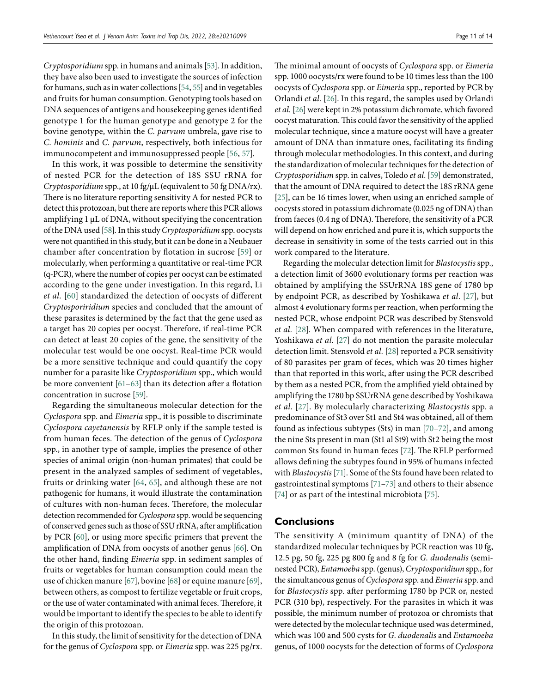*Cryptosporidium* spp. in humans and animals [\[53\]](#page-12-33). In addition, they have also been used to investigate the sources of infection for humans, such as in water collections [\[54,](#page-12-34) [55](#page-12-35)] and in vegetables and fruits for human consumption. Genotyping tools based on DNA sequences of antigens and housekeeping genes identified genotype 1 for the human genotype and genotype 2 for the bovine genotype, within the *C. parvum* umbrela, gave rise to *C. hominis* and *C. parvum*, respectively, both infectious for immunocompetent and immunosuppressed people [\[56](#page-13-0), [57\]](#page-13-1).

In this work, it was possible to determine the sensitivity of nested PCR for the detection of 18S SSU rRNA for *Cryptosporidium* spp., at 10 fg/µL (equivalent to 50 fg DNA/rx). There is no literature reporting sensitivity A for nested PCR to detect this protozoan, but there are reports where this PCR allows amplifying 1 µL of DNA, without specifying the concentration of the DNA used [\[58\]](#page-13-2). In this study *Cryptosporidium* spp. oocysts were not quantified in this study, but it can be done in a Neubauer chamber after concentration by flotation in sucrose [\[59\]](#page-13-3) or molecularly, when performing a quantitative or real-time PCR (q-PCR), where the number of copies per oocyst can be estimated according to the gene under investigation. In this regard, Li *et al.* [\[60\]](#page-13-4) standardized the detection of oocysts of different *Cryptosporiridium* species and concluded that the amount of these parasites is determined by the fact that the gene used as a target has 20 copies per oocyst. Therefore, if real-time PCR can detect at least 20 copies of the gene, the sensitivity of the molecular test would be one oocyst. Real-time PCR would be a more sensitive technique and could quantify the copy number for a parasite like *Cryptosporidium* spp., which would be more convenient [[61](#page-13-5)–[63](#page-13-6)] than its detection after a flotation concentration in sucrose [\[59](#page-13-3)].

Regarding the simultaneous molecular detection for the *Cyclospora* spp. and *Eimeria* spp., it is possible to discriminate *Cyclospora cayetanensis* by RFLP only if the sample tested is from human feces. The detection of the genus of *Cyclospora* spp., in another type of sample, implies the presence of other species of animal origin (non-human primates) that could be present in the analyzed samples of sediment of vegetables, fruits or drinking water [\[64,](#page-13-7) [65](#page-13-8)], and although these are not pathogenic for humans, it would illustrate the contamination of cultures with non-human feces. Therefore, the molecular detection recommended for *Cyclospora* spp. would be sequencing of conserved genes such as those of SSU rRNA, after amplification by PCR [\[60](#page-13-4)], or using more specific primers that prevent the amplification of DNA from oocysts of another genus [\[66](#page-13-9)]. On the other hand, finding *Eimeria* spp. in sediment samples of fruits or vegetables for human consumption could mean the use of chicken manure [\[67\]](#page-13-10), bovine [\[68\]](#page-13-11) or equine manure [\[69\]](#page-13-12), between others, as compost to fertilize vegetable or fruit crops, or the use of water contaminated with animal feces. Therefore, it would be important to identify the species to be able to identify the origin of this protozoan.

In this study, the limit of sensitivity for the detection of DNA for the genus of *Cyclospora* spp. or *Eimeria* spp. was 225 pg/rx. The minimal amount of oocysts of *Cyclospora* spp. or *Eimeria* spp. 1000 oocysts/rx were found to be 10 times less than the 100 oocysts of *Cyclospora* spp. or *Eimeria* spp., reported by PCR by Orlandi *et al.* [\[26](#page-12-7)]. In this regard, the samples used by Orlandi *et al.* [\[26\]](#page-12-7) were kept in 2% potassium dichromate, which favored oocyst maturation. This could favor the sensitivity of the applied molecular technique, since a mature oocyst will have a greater amount of DNA than inmature ones, facilitating its finding through molecular methodologies. In this context, and during the standardization of molecular techniques for the detection of *Cryptosporidium* spp. in calves, Toledo *et al.* [\[59\]](#page-13-3) demonstrated, that the amount of DNA required to detect the 18S rRNA gene [\[25](#page-12-6)], can be 16 times lower, when using an enriched sample of oocysts stored in potassium dichromate (0.025 ng of DNA) than from faeces (0.4 ng of DNA). Therefore, the sensitivity of a PCR will depend on how enriched and pure it is, which supports the decrease in sensitivity in some of the tests carried out in this work compared to the literature.

Regarding the molecular detection limit for *Blastocystis* spp., a detection limit of 3600 evolutionary forms per reaction was obtained by amplifying the SSUrRNA 18S gene of 1780 bp by endpoint PCR, as described by Yoshikawa *et al*. [\[27\]](#page-12-8), but almost 4 evolutionary forms per reaction, when performing the nested PCR, whose endpoint PCR was described by Stensvold *et al.* [\[28\]](#page-12-9). When compared with references in the literature, Yoshikawa *et al*. [[27\]](#page-12-8) do not mention the parasite molecular detection limit. Stensvold *et al.* [\[28\]](#page-12-9) reported a PCR sensitivity of 80 parasites per gram of feces, which was 20 times higher than that reported in this work, after using the PCR described by them as a nested PCR, from the amplified yield obtained by amplifying the 1780 bp SSUrRNA gene described by Yoshikawa *et al.* [\[27](#page-12-8)]. By molecularly characterizing *Blastocystis* spp. a predominance of St3 over St1 and St4 was obtained, all of them found as infectious subtypes (Sts) in man [\[70](#page-13-13)[–72](#page-13-14)], and among the nine Sts present in man (St1 al St9) with St2 being the most common Sts found in human feces [\[72\]](#page-13-14). The RFLP performed allows defining the subtypes found in 95% of humans infected with *Blastocystis* [\[71\]](#page-13-15). Some of the Sts found have been related to gastrointestinal symptoms [\[71–](#page-13-15)[73\]](#page-13-16) and others to their absence [\[74\]](#page-13-17) or as part of the intestinal microbiota [\[75\]](#page-13-18).

# **Conclusions**

The sensitivity A (minimum quantity of DNA) of the standardized molecular techniques by PCR reaction was 10 fg, 12.5 pg, 50 fg, 225 pg 800 fg and 8 fg for *G. duodenalis* (seminested PCR), *Entamoeba* spp. (genus), *Cryptosporidium* spp., for the simultaneous genus of *Cyclospora* spp. and *Eimeria* spp. and for *Blastocystis* spp. after performing 1780 bp PCR or, nested PCR (310 bp), respectively. For the parasites in which it was possible, the minimum number of protozoa or chromists that were detected by the molecular technique used was determined, which was 100 and 500 cysts for *G. duodenalis* and *Entamoeba* genus, of 1000 oocysts for the detection of forms of *Cyclospora*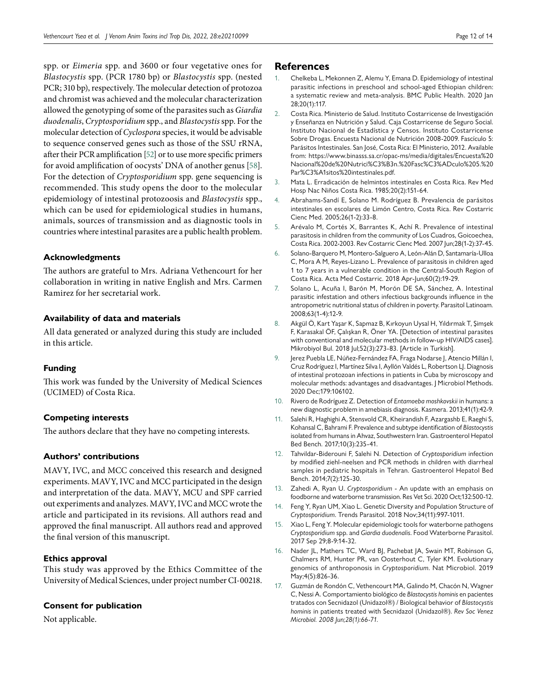spp. or *Eimeria* spp. and 3600 or four vegetative ones for *Blastocystis* spp. (PCR 1780 bp) or *Blastocystis* spp. (nested PCR; 310 bp), respectively. The molecular detection of protozoa and chromist was achieved and the molecular characterization allowed the genotyping of some of the parasites such as *Giardia duodenalis*, *Cryptosporidium* spp., and *Blastocystis* spp. For the molecular detection of *Cyclospora* species, it would be advisable to sequence conserved genes such as those of the SSU rRNA, after their PCR amplification [\[52](#page-12-32)] or to use more specific primers for avoid amplification of oocysts' DNA of another genus [\[58\]](#page-13-2). For the detection of *Cryptosporidium* spp. gene sequencing is recommended. This study opens the door to the molecular epidemiology of intestinal protozoosis and *Blastocystis* spp., which can be used for epidemiological studies in humans, animals, sources of transmission and as diagnostic tools in countries where intestinal parasites are a public health problem.

#### **Acknowledgments**

The authors are grateful to Mrs. Adriana Vethencourt for her collaboration in writing in native English and Mrs. Carmen Ramirez for her secretarial work.

#### **Availability of data and materials**

All data generated or analyzed during this study are included in this article.

#### **Funding**

This work was funded by the University of Medical Sciences (UCIMED) of Costa Rica.

# **Competing interests**

The authors declare that they have no competing interests.

# **Authors' contributions**

MAVY, IVC, and MCC conceived this research and designed experiments. MAVY, IVC and MCC participated in the design and interpretation of the data. MAVY, MCU and SPF carried out experiments and analyzes. MAVY, IVC and MCC wrote the article and participated in its revisions. All authors read and approved the final manuscript. All authors read and approved the final version of this manuscript.

# **Ethics approval**

This study was approved by the Ethics Committee of the University of Medical Sciences, under project number CI-00218.

# **Consent for publication**

Not applicable.

#### **References**

- <span id="page-11-0"></span>1. Chelkeba L, Mekonnen Z, Alemu Y, Emana D. Epidemiology of intestinal parasitic infections in preschool and school-aged Ethiopian children: a systematic review and meta-analysis. BMC Public Health. 2020 Jan 28;20(1):117.
- <span id="page-11-1"></span>2. Costa Rica. Ministerio de Salud. Instituto Costarricense de Investigación y Enseñanza en Nutrición y Salud. Caja Costarricense de Seguro Social. Instituto Nacional de Estadística y Censos. Instituto Costarricense Sobre Drogas. Encuesta Nacional de Nutrición 2008-2009. Fascículo 5: Parásitos Intestinales. San José, Costa Rica: El Ministerio, 2012. Available from: [https://www.binasss.sa.cr/opac-ms/media/digitales/Encuesta%20](https://www.binasss.sa.cr/opac-ms/media/digitales/Encuesta%20Nacional%20de%20Nutrici%C3%B3n.%20Fasc%C3%ADculo%205.%20Par%C3%A1sitos%20intestinales.pdf) [Nacional%20de%20Nutrici%C3%B3n.%20Fasc%C3%ADculo%205.%20](https://www.binasss.sa.cr/opac-ms/media/digitales/Encuesta%20Nacional%20de%20Nutrici%C3%B3n.%20Fasc%C3%ADculo%205.%20Par%C3%A1sitos%20intestinales.pdf) [Par%C3%A1sitos%20intestinales.pdf.](https://www.binasss.sa.cr/opac-ms/media/digitales/Encuesta%20Nacional%20de%20Nutrici%C3%B3n.%20Fasc%C3%ADculo%205.%20Par%C3%A1sitos%20intestinales.pdf)
- <span id="page-11-2"></span>3. Mata L. Erradicación de helmintos intestinales en Costa Rica. Rev Med Hosp Nac Niños Costa Rica. 1985;20(2):151-64.
- <span id="page-11-3"></span>4. Abrahams-Sandí E, Solano M. Rodríguez B. Prevalencia de parásitos intestinales en escolares de Limón Centro, Costa Rica. Rev Costarric Cienc Med. 2005;26(1-2):33-8.
- <span id="page-11-4"></span>5. Arévalo M, Cortés X, Barrantes K, Achí R. Prevalence of intestinal parasitosis in children from the community of Los Cuadros, Goicoechea, Costa Rica. 2002-2003. Rev Costarric Cienc Med. 2007 Jun;28(1-2):37-45.
- <span id="page-11-5"></span>6. Solano-Barquero M, Montero-Salguero A, León-Alán D, Santamaría-Ulloa C, Mora A M, Reyes-Lizano L. Prevalence of parasitosis in children aged 1 to 7 years in a vulnerable condition in the Central-South Region of Costa Rica. Acta Med Costarric. 2018 Apr-Jun;60(2):19-29.
- <span id="page-11-6"></span>7. Solano L, Acuña I, Barón M, Morón DE SA, Sánchez, A. Intestinal parasitic infestation and others infectious backgrounds influence in the antropometric nutritional status of children in poverty. Parasitol Latinoam*.* 2008;63(1-4):12-9.
- <span id="page-11-7"></span>8. Akgül Ö, Kart Yaşar K, Sapmaz B, Kırkoyun Uysal H, Yıldırmak T, Şimşek F, Karasakal ÖF, Çalışkan R, Öner YA. [Detection of intestinal parasites with conventional and molecular methods in follow-up HIV/AIDS cases]. Mikrobiyol Bul. 2018 Jul;52(3):273-83. [Article in Turkish].
- <span id="page-11-8"></span>9. Jerez Puebla LE, Núñez-Fernández FA, Fraga Nodarse J, Atencio Millán I, Cruz Rodríguez I, Martínez Silva I, Ayllón Valdés L, Robertson LJ. Diagnosis of intestinal protozoan infections in patients in Cuba by microscopy and molecular methods: advantages and disadvantages. J Microbiol Methods. 2020 Dec;179:106102.
- <span id="page-11-9"></span>10. Rivero de Rodríguez Z. Detection of *Entamoeba moshkovskii* in humans: a new diagnostic problem in amebiasis diagnosis. Kasmera. 2013;41(1):42-9.
- <span id="page-11-10"></span>11. Salehi R, Haghighi A, Stensvold CR, Kheirandish F, Azargashb E, Raeghi S, Kohansal C, Bahrami F. Prevalence and subtype identification of *Blastocystis* isolated from humans in Ahvaz, Southwestern Iran. Gastroenterol Hepatol Bed Bench. 2017;10(3):235-41.
- <span id="page-11-11"></span>12. Tahvildar-Biderouni F, Salehi N. Detection of *Cryptosporidium* infection by modified ziehl-neelsen and PCR methods in children with diarrheal samples in pediatric hospitals in Tehran. Gastroenterol Hepatol Bed Bench. 2014;7(2):125-30.
- <span id="page-11-12"></span>13. Zahedi A, Ryan U. *Cryptosporidium* - An update with an emphasis on foodborne and waterborne transmission. Res Vet Sci. 2020 Oct;132:500-12.
- <span id="page-11-13"></span>14. Feng Y, Ryan UM, Xiao L. Genetic Diversity and Population Structure of *Cryptosporidium*. Trends Parasitol. 2018 Nov;34(11):997-1011.
- <span id="page-11-14"></span>15. Xiao L, Feng Y. Molecular epidemiologic tools for waterborne pathogens *Cryptosporidium* spp. and *Giardia duodenalis*. Food Waterborne Parasitol. 2017 Sep 29;8-9:14-32.
- <span id="page-11-15"></span>16. Nader JL, Mathers TC, Ward BJ, Pachebat JA, Swain MT, Robinson G, Chalmers RM, Hunter PR, van Oosterhout C, Tyler KM. Evolutionary genomics of anthroponosis in *Cryptosporidium*. Nat Microbiol. 2019 May;4(5):826-36.
- <span id="page-11-16"></span>17. Guzmán de Rondón C, Vethencourt MA, Galindo M, Chacón N, Wagner C, Nessi A. Comportamiento biológico de *Blastocystis hominis* en pacientes tratados con Secnidazol (Unidazol®) / Biological behavior of *Blastocystis hominis* in patients treated with Secnidazol (Unidazol®). *Rev Soc Venez Microbiol. 2008 Jun;28(1):66-71.*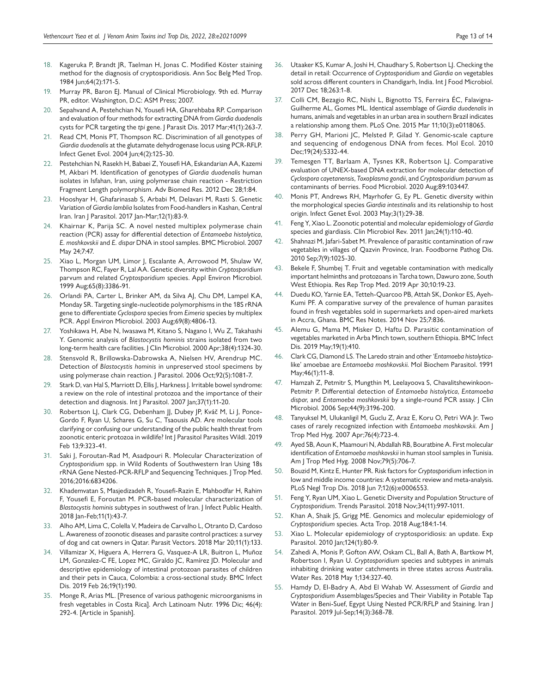- <span id="page-12-0"></span>18. Kageruka P, Brandt JR, Taelman H, Jonas C. Modified Köster staining method for the diagnosis of cryptosporidiosis. Ann Soc Belg Med Trop. 1984 Jun;64(2):171-5.
- <span id="page-12-1"></span>19. Murray PR, Baron EJ. Manual of Clinical Microbiology. 9th ed. Murray PR, editor. Washington, D.C: ASM Press; 2007.
- <span id="page-12-2"></span>20. Sepahvand A, Pestehchian N, Yousefi HA, Gharehbaba RP. Comparison and evaluation of four methods for extracting DNA from *Giardia duodenalis* cysts for PCR targeting the *tpi* gene. J Parasit Dis. 2017 Mar;41(1):263-7.
- <span id="page-12-3"></span>21. Read CM, Monis PT, Thompson RC. Discrimination of all genotypes of *Giardia duodenalis* at the glutamate dehydrogenase locus using PCR-RFLP. Infect Genet Evol. 2004 Jun;4(2):125-30.
- 22. Pestehchian N, Rasekh H, Babaei Z, Yousefi HA, Eskandarian AA, Kazemi M, Akbari M. Identification of genotypes of *Giardia duodenalis* human isolates in Isfahan, Iran, using polymerase chain reaction - Restriction Fragment Length polymorphism. Adv Biomed Res. 2012 Dec 28;1:84.
- <span id="page-12-4"></span>23. Hooshyar H, Ghafarinasab S, Arbabi M, Delavari M, Rasti S. Genetic Variation of *Giardia lamblia* Isolates from Food-handlers in Kashan, Central Iran. Iran J Parasitol. 2017 Jan-Mar;12(1):83-9.
- <span id="page-12-5"></span>24. Khairnar K, Parija SC. A novel nested multiplex polymerase chain reaction (PCR) assay for differential detection of *Entamoeba histolytica*, *E. moshkovskii* and *E. dispar* DNA in stool samples. BMC Microbiol. 2007 May 24;7:47.
- <span id="page-12-6"></span>25. Xiao L, Morgan UM, Limor J, Escalante A, Arrowood M, Shulaw W, Thompson RC, Fayer R, Lal AA. Genetic diversity within *Cryptosporidium* parvum and related *Cryptosporidium* species. Appl Environ Microbiol. 1999 Aug;65(8):3386-91.
- <span id="page-12-7"></span>26. Orlandi PA, Carter L, Brinker AM, da Silva AJ, Chu DM, Lampel KA, Monday SR. Targeting single-nucleotide polymorphisms in the 18S rRNA gene to differentiate *Cyclospora* species from *Eimeria* species by multiplex PCR. Appl Environ Microbiol. 2003 Aug;69(8):4806-13.
- <span id="page-12-8"></span>27. Yoshikawa H, Abe N, Iwasawa M, Kitano S, Nagano I, Wu Z, Takahashi Y. Genomic analysis of *Blastocystis hominis* strains isolated from two long-term health care facilities. J Clin Microbiol. 2000 Apr;38(4):1324-30.
- <span id="page-12-9"></span>28. Stensvold R, Brillowska-Dabrowska A, Nielsen HV, Arendrup MC. Detection of *Blastocystis hominis* in unpreserved stool specimens by using polymerase chain reaction. J Parasitol. 2006 Oct;92(5):1081-7.
- <span id="page-12-10"></span>29. Stark D, van Hal S, Marriott D, Ellis J, Harkness J. Irritable bowel syndrome: a review on the role of intestinal protozoa and the importance of their detection and diagnosis. Int J Parasitol. 2007 Jan;37(1):11-20.
- <span id="page-12-11"></span>30. Robertson LJ, Clark CG, Debenham JJ, Dubey JP, Kváč M, Li J, Ponce-Gordo F, Ryan U, Schares G, Su C, Tsaousis AD. Are molecular tools clarifying or confusing our understanding of the public health threat from zoonotic enteric protozoa in wildlife? Int J Parasitol Parasites Wildl. 2019 Feb 13;9:323-41.
- <span id="page-12-12"></span>31. Saki J, Foroutan-Rad M, Asadpouri R. Molecular Characterization of *Cryptosporidium* spp. in Wild Rodents of Southwestern Iran Using 18s rRNA Gene Nested-PCR-RFLP and Sequencing Techniques. J Trop Med. 2016;2016:6834206.
- <span id="page-12-13"></span>32. Khademvatan S, Masjedizadeh R, Yousefi-Razin E, Mahbodfar H, Rahim F, Yousefi E, Foroutan M. PCR-based molecular characterization of *Blastocystis hominis* subtypes in southwest of Iran. J Infect Public Health. 2018 Jan-Feb;11(1):43-7.
- <span id="page-12-14"></span>33. Alho AM, Lima C, Colella V, Madeira de Carvalho L, Otranto D, Cardoso L. Awareness of zoonotic diseases and parasite control practices: a survey of dog and cat owners in Qatar. Parasit Vectors. 2018 Mar 20;11(1):133.
- <span id="page-12-15"></span>34. Villamizar X, Higuera A, Herrera G, Vasquez-A LR, Buitron L, Muñoz LM, Gonzalez-C FE, Lopez MC, Giraldo JC, Ramírez JD. Molecular and descriptive epidemiology of intestinal protozoan parasites of children and their pets in Cauca, Colombia: a cross-sectional study. BMC Infect Dis. 2019 Feb 26;19(1):190.
- <span id="page-12-16"></span>35. Monge R, Arias ML. [Presence of various pathogenic microorganisms in fresh vegetables in Costa Rica]. Arch Latinoam Nutr*.* 1996 Dic; 46(4): 292-4. [Article in Spanish].
- <span id="page-12-17"></span>36. Utaaker KS, Kumar A, Joshi H, Chaudhary S, Robertson LJ. Checking the detail in retail: Occurrence of *Cryptosporidium* and *Giardia* on vegetables sold across different counters in Chandigarh, India. Int J Food Microbiol. 2017 Dec 18;263:1-8.
- <span id="page-12-18"></span>37. Colli CM, Bezagio RC, Nishi L, Bignotto TS, Ferreira ÉC, Falavigna-Guilherme AL, Gomes ML. Identical assemblage of *Giardia duodenalis* in humans, animals and vegetables in an urban area in southern Brazil indicates a relationship among them. PLoS One. 2015 Mar 11;10(3):e0118065.
- <span id="page-12-19"></span>38. Perry GH, Marioni JC, Melsted P, Gilad Y. Genomic-scale capture and sequencing of endogenous DNA from feces. Mol Ecol. 2010 Dec;19(24):5332-44.
- <span id="page-12-20"></span>39. Temesgen TT, Barlaam A, Tysnes KR, Robertson LJ. Comparative evaluation of UNEX-based DNA extraction for molecular detection of *Cyclospora cayetanensis*, *Toxoplasma gondii*, and *Cryptosporidium parvum* as contaminants of berries. Food Microbiol. 2020 Aug;89:103447.
- <span id="page-12-21"></span>40. Monis PT, Andrews RH, Mayrhofer G, Ey PL. Genetic diversity within the morphological species *Giardia intestinalis* and its relationship to host origin. Infect Genet Evol. 2003 May;3(1):29-38.
- <span id="page-12-22"></span>41. Feng Y, Xiao L. Zoonotic potential and molecular epidemiology of *Giardia* species and giardiasis. Clin Microbiol Rev. 2011 Jan;24(1):110-40.
- <span id="page-12-23"></span>42. Shahnazi M, Jafari-Sabet M. Prevalence of parasitic contamination of raw vegetables in villages of Qazvin Province, Iran. Foodborne Pathog Dis. 2010 Sep;7(9):1025-30.
- <span id="page-12-24"></span>43. Bekele F, Shumbej T. Fruit and vegetable contamination with medically important helminths and protozoans in Tarcha town, Dawuro zone, South West Ethiopia. Res Rep Trop Med. 2019 Apr 30;10:19-23.
- <span id="page-12-25"></span>44. Duedu KO, Yarnie EA, Tetteh-Quarcoo PB, Attah SK, Donkor ES, Ayeh-Kumi PF. A comparative survey of the prevalence of human parasites found in fresh vegetables sold in supermarkets and open-aired markets in Accra, Ghana. BMC Res Notes. 2014 Nov 25;7:836.
- <span id="page-12-26"></span>45. Alemu G, Mama M, Misker D, Haftu D. Parasitic contamination of vegetables marketed in Arba Minch town, southern Ethiopia. BMC Infect Dis. 2019 May;19(1):410.
- <span id="page-12-27"></span>46. Clark CG, Diamond LS. The Laredo strain and other *'Entamoeba histolytica*like' amoebae are *Entamoeba moshkovskii*. Mol Biochem Parasitol. 1991 May;46(1):11-8.
- <span id="page-12-28"></span>Hamzah Z, Petmitr S, Mungthin M, Leelayoova S, Chavalitshewinkoon-Petmitr P. Differential detection of *Entamoeba histolytica*, *Entamoeba dispar*, and *Entamoeba moshkovskii* by a single-round PCR assay. J Clin Microbiol. 2006 Sep;44(9):3196-200.
- 48. Tanyuksel M, Ulukanligil M, Guclu Z, Araz E, Koru O, Petri WA Jr. Two cases of rarely recognized infection with *Entamoeba moshkovskii*. Am J Trop Med Hyg. 2007 Apr;76(4):723-4.
- <span id="page-12-29"></span>49. Ayed SB, Aoun K, Maamouri N, Abdallah RB, Bouratbine A. First molecular identification of *Entamoeba moshkovskii* in human stool samples in Tunisia. Am J Trop Med Hyg. 2008 Nov;79(5):706-7.
- <span id="page-12-30"></span>50. Bouzid M, Kintz E, Hunter PR. Risk factors for *Cryptosporidium* infection in low and middle income countries: A systematic review and meta-analysis. PLoS Negl Trop Dis. 2018 Jun 7;12(6):e0006553.
- <span id="page-12-31"></span>51. Feng Y, Ryan UM, Xiao L. Genetic Diversity and Population Structure of *Cryptosporidium*. Trends Parasitol. 2018 Nov;34(11):997-1011.
- <span id="page-12-32"></span>52. Khan A, Shaik JS, Grigg ME. Genomics and molecular epidemiology of *Cryptosporidium* species. Acta Trop. 2018 Aug;184:1-14.
- <span id="page-12-33"></span>53. Xiao L. Molecular epidemiology of cryptosporidiosis: an update. Exp Parasitol. 2010 Jan;124(1):80-9.
- <span id="page-12-34"></span>54. Zahedi A, Monis P, Gofton AW, Oskam CL, Ball A, Bath A, Bartkow M, Robertson I, Ryan U. *Cryptosporidium* species and subtypes in animals inhabiting drinking water catchments in three states across Australia. Water Res. 2018 May 1;134:327-40.
- <span id="page-12-35"></span>55. Hamdy D, El-Badry A, Abd El Wahab W. Assessment of *Giardia* and *Cryptosporidium* Assemblages/Species and Their Viability in Potable Tap Water in Beni-Suef, Egypt Using Nested PCR/RFLP and Staining. Iran J Parasitol. 2019 Jul-Sep;14(3):368-78.